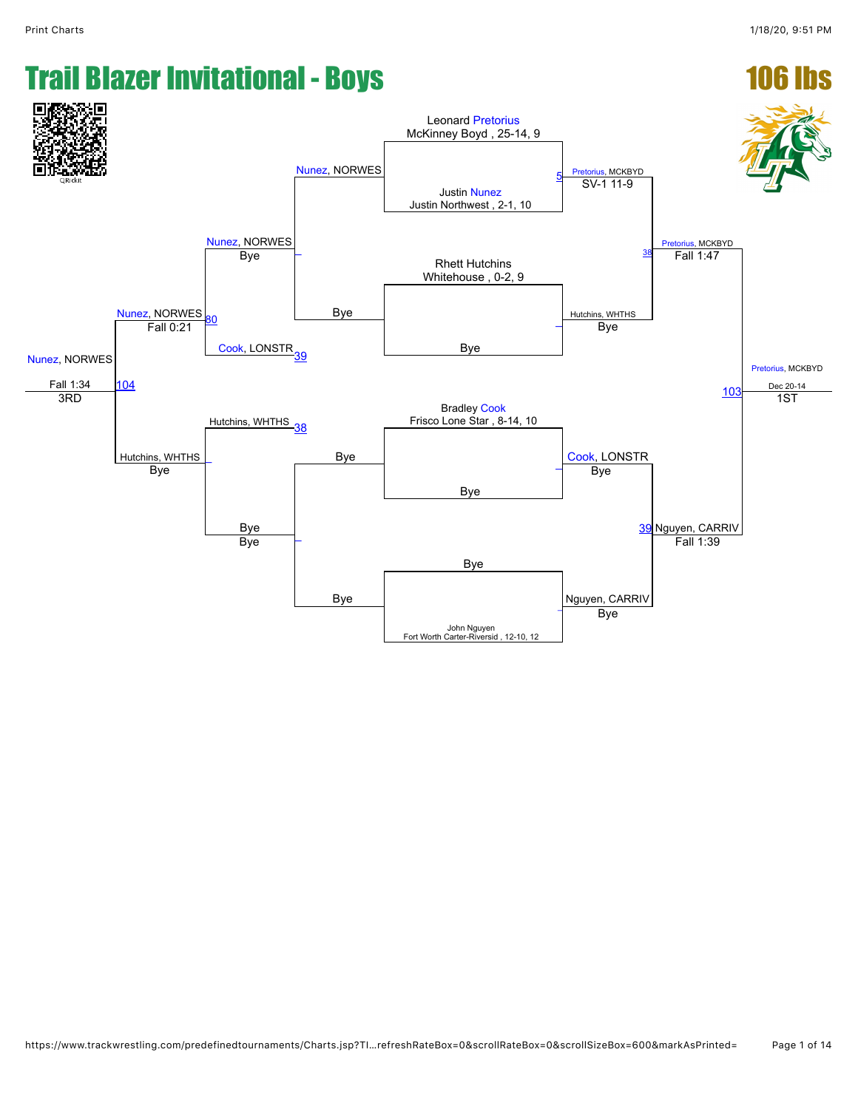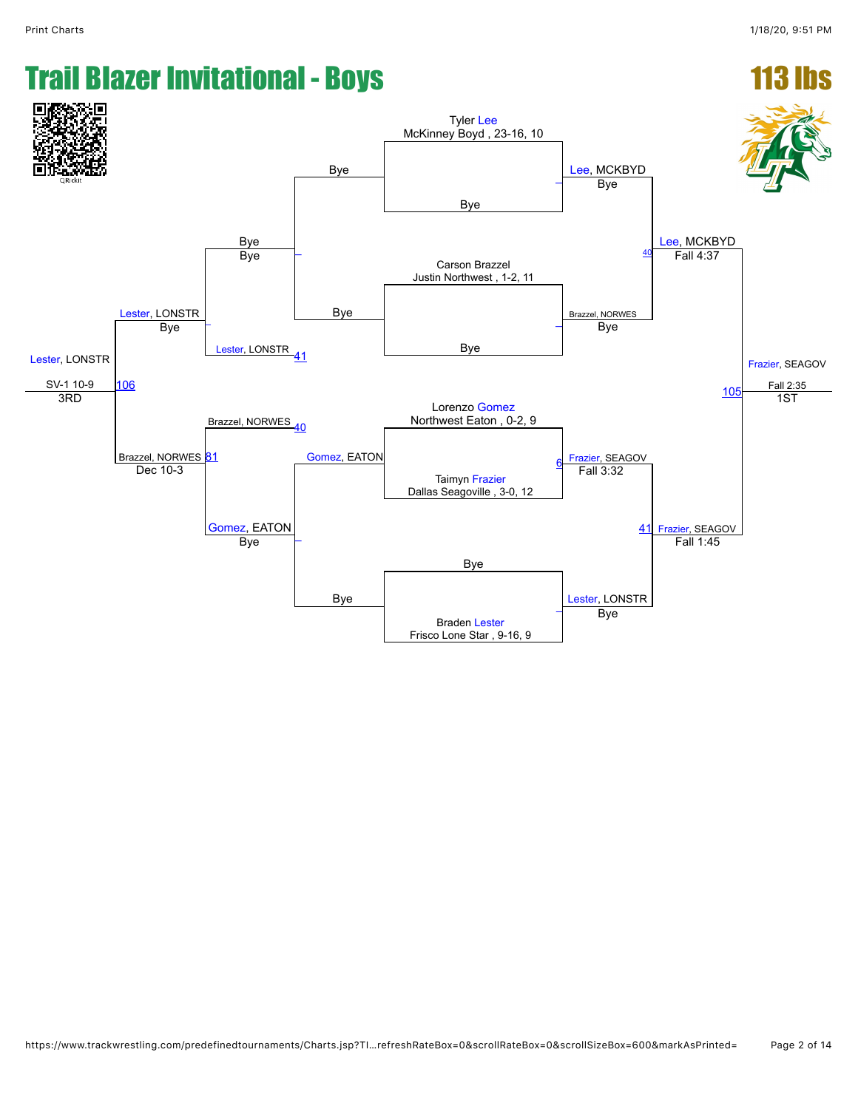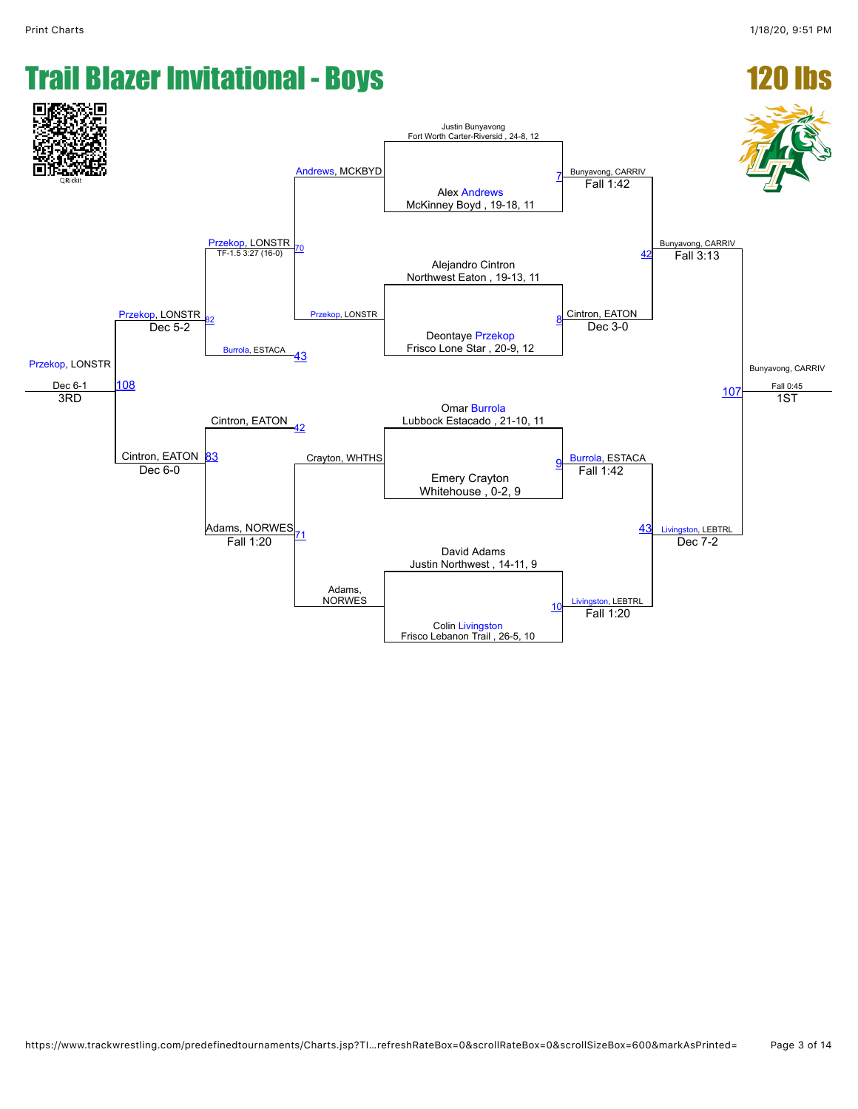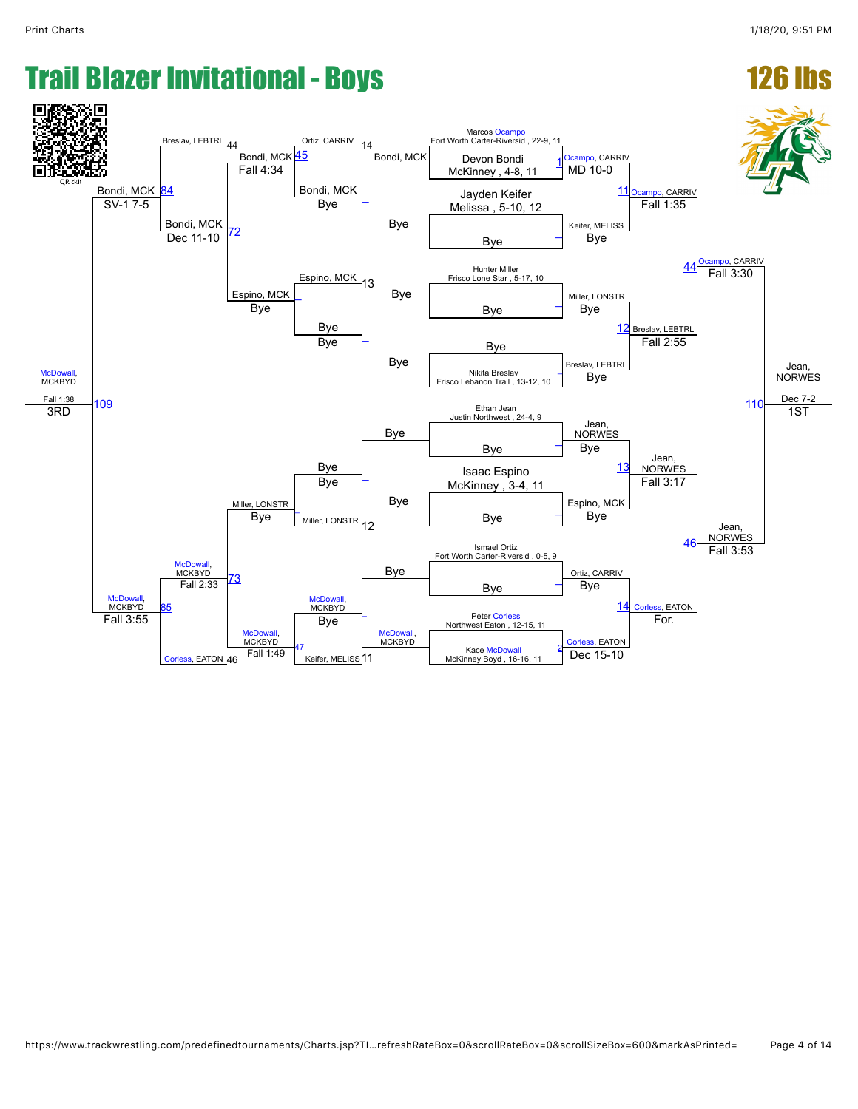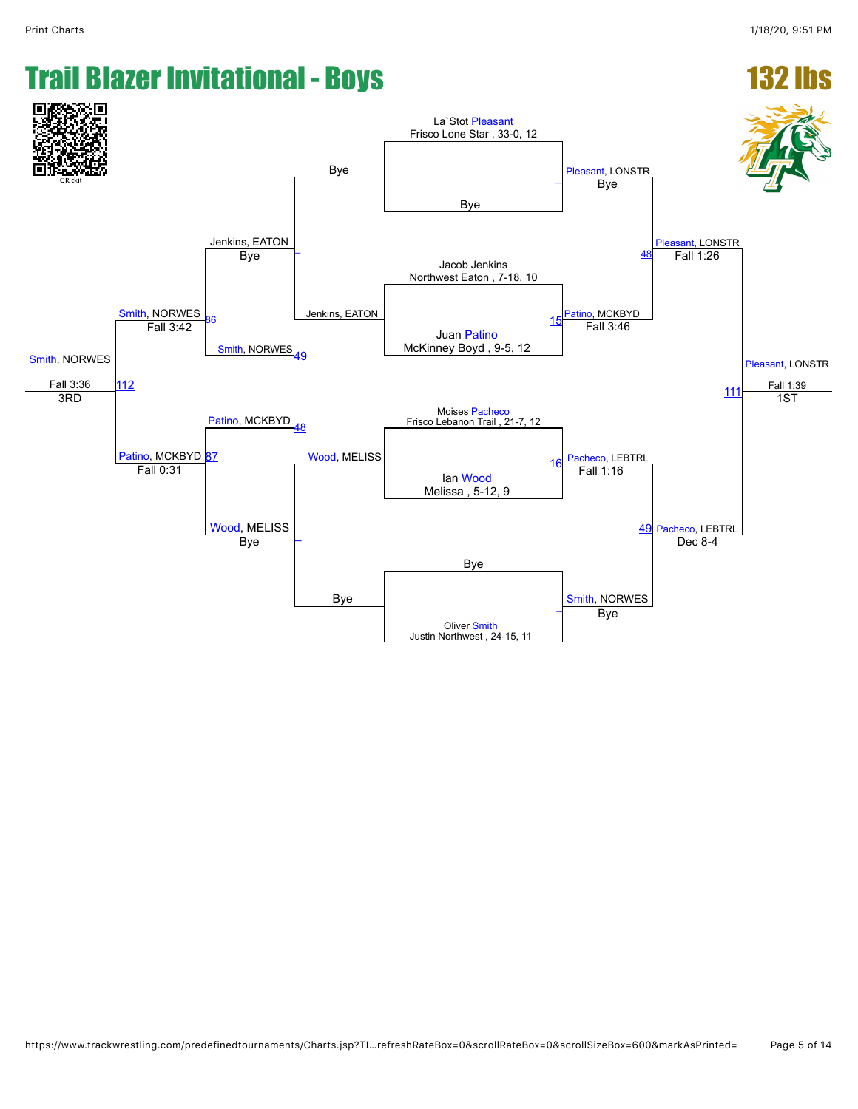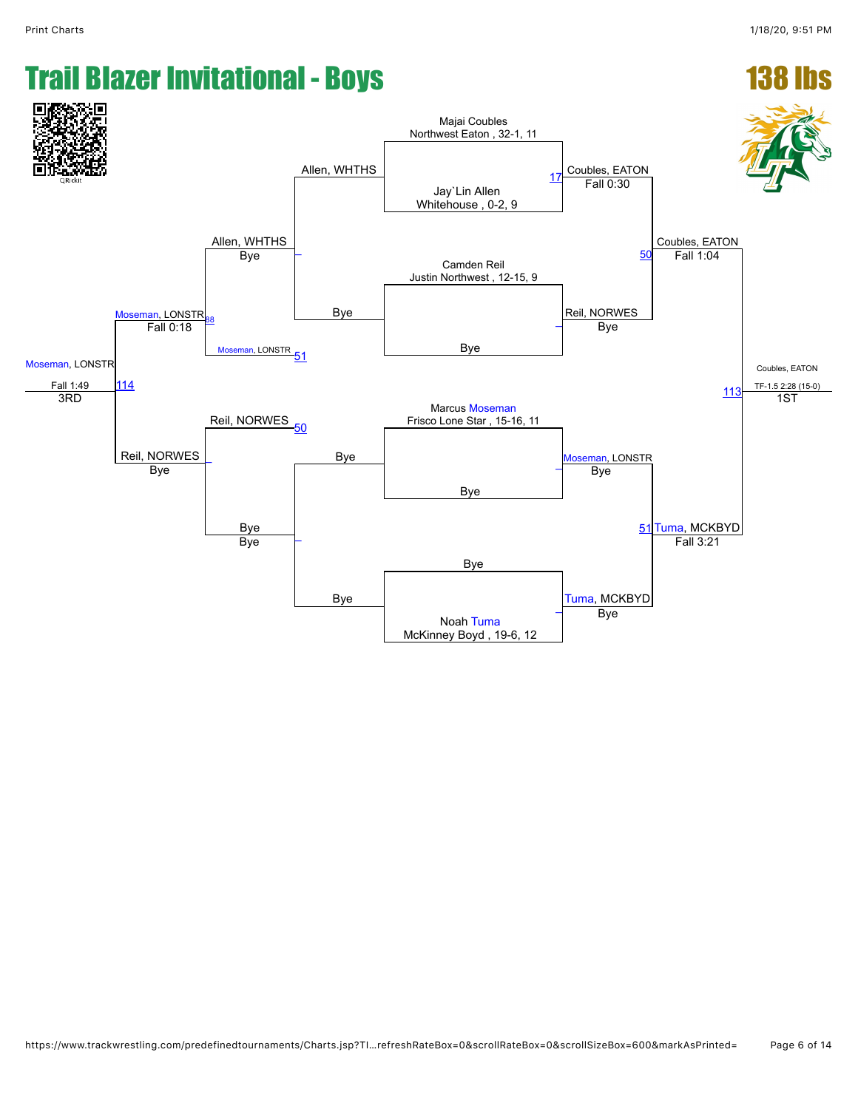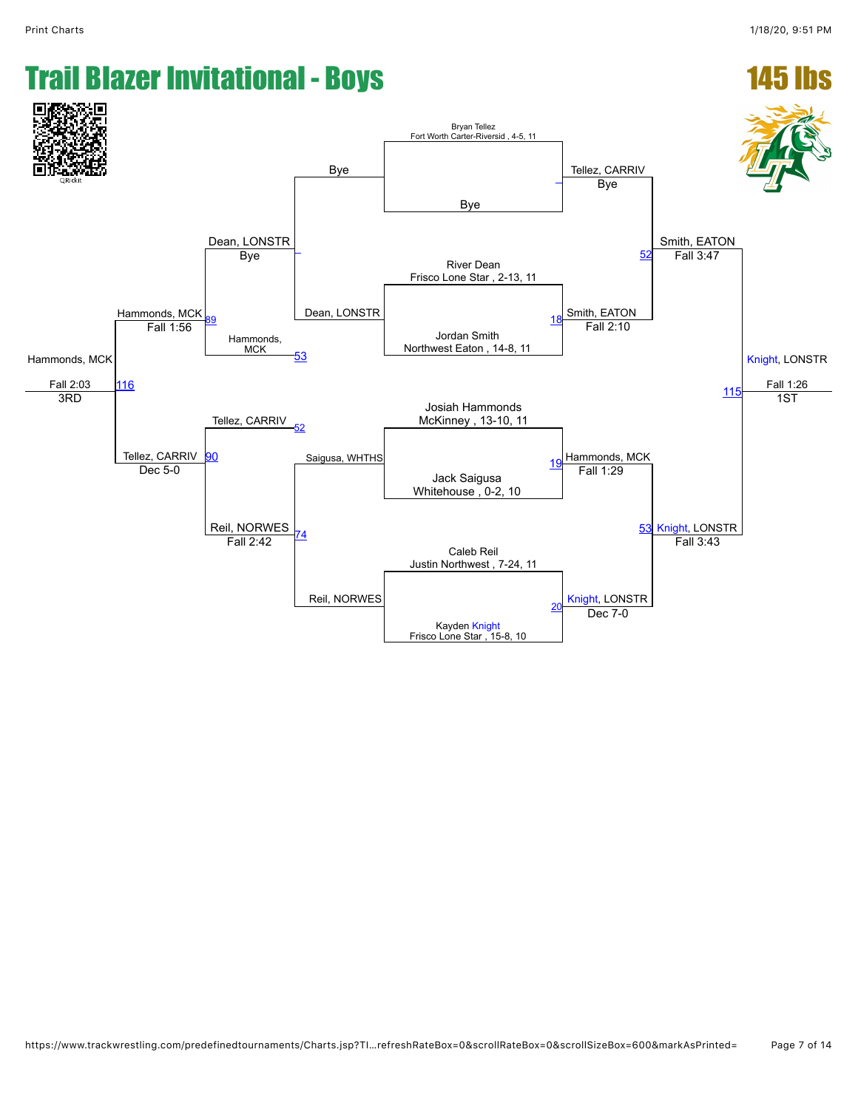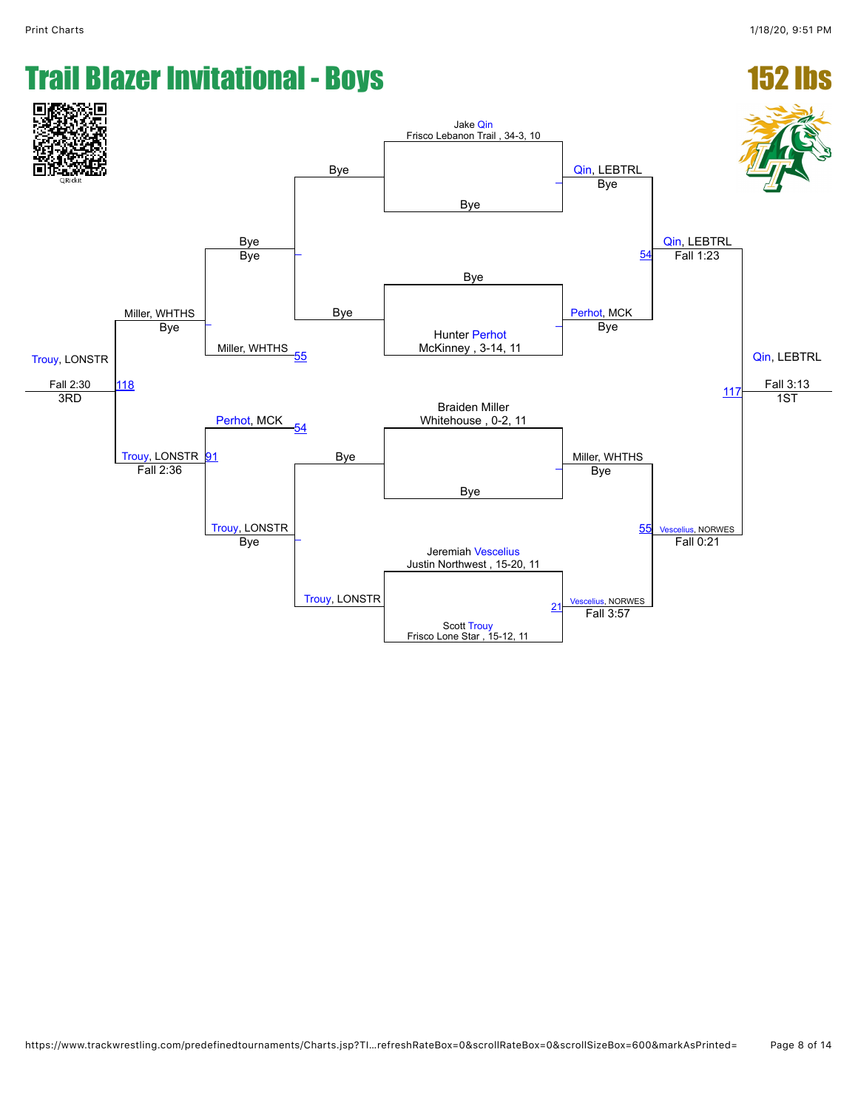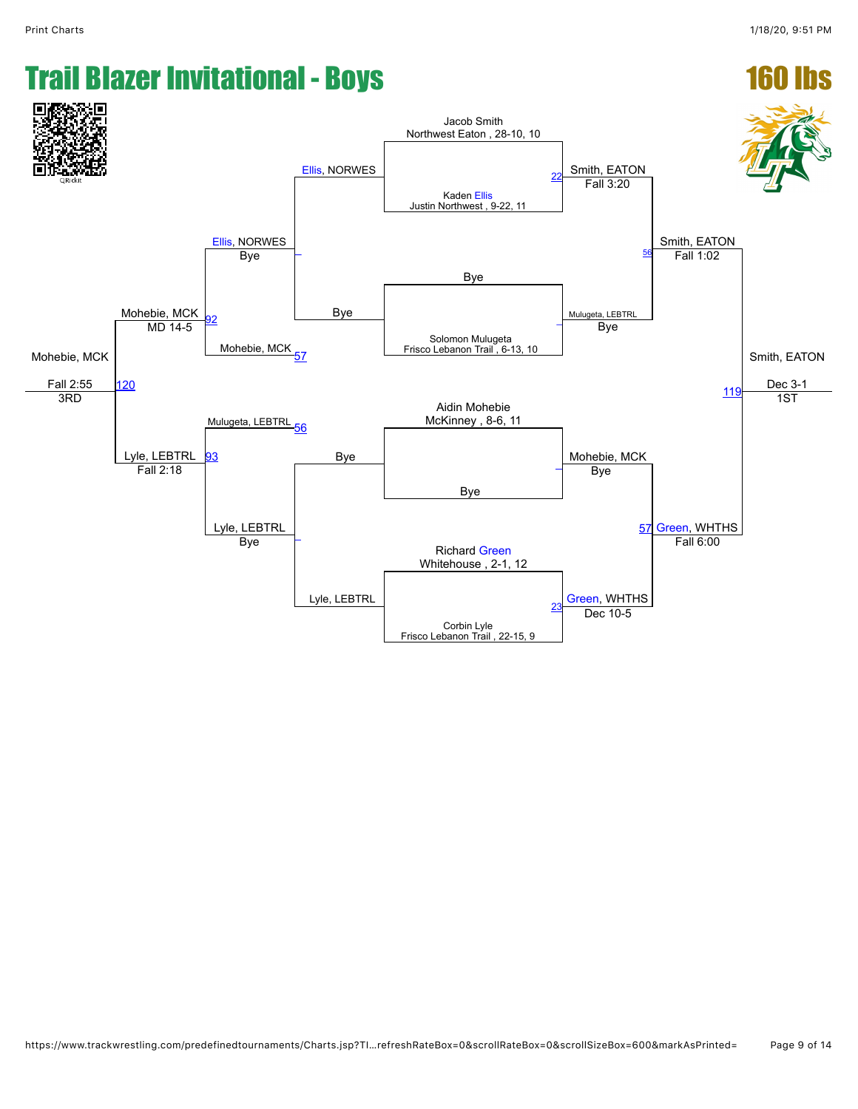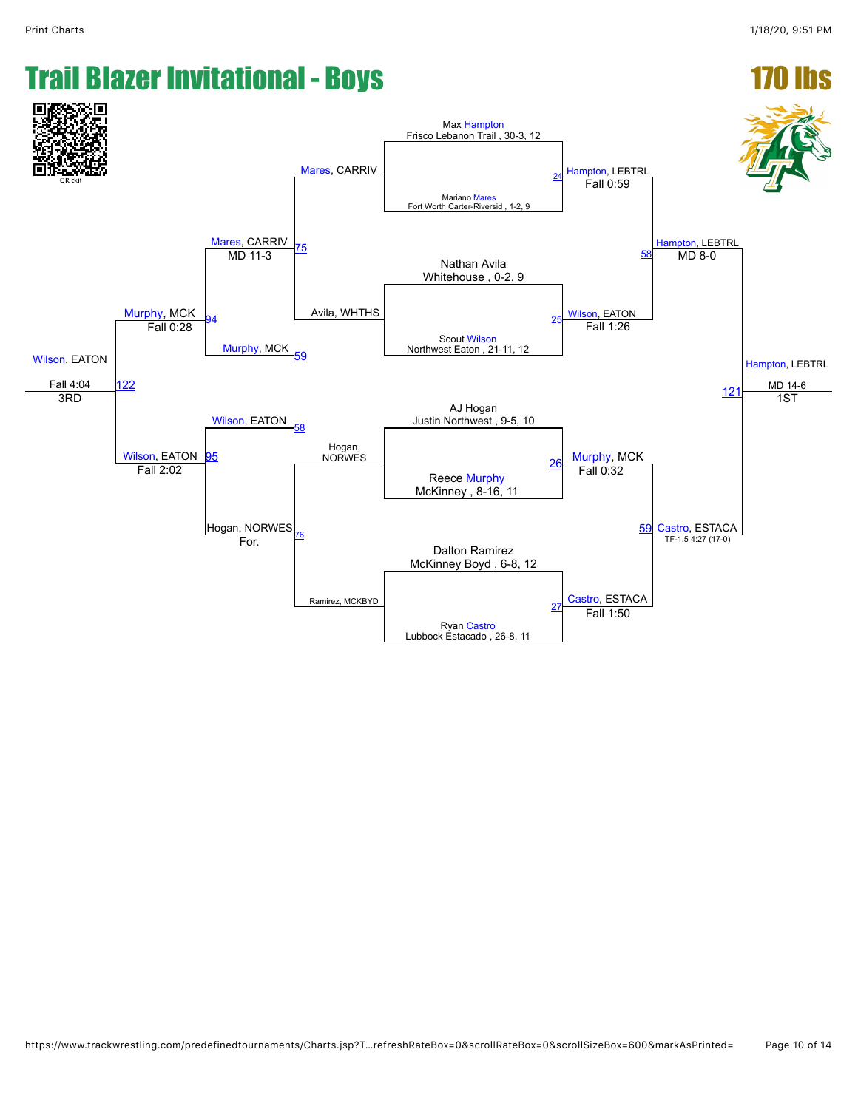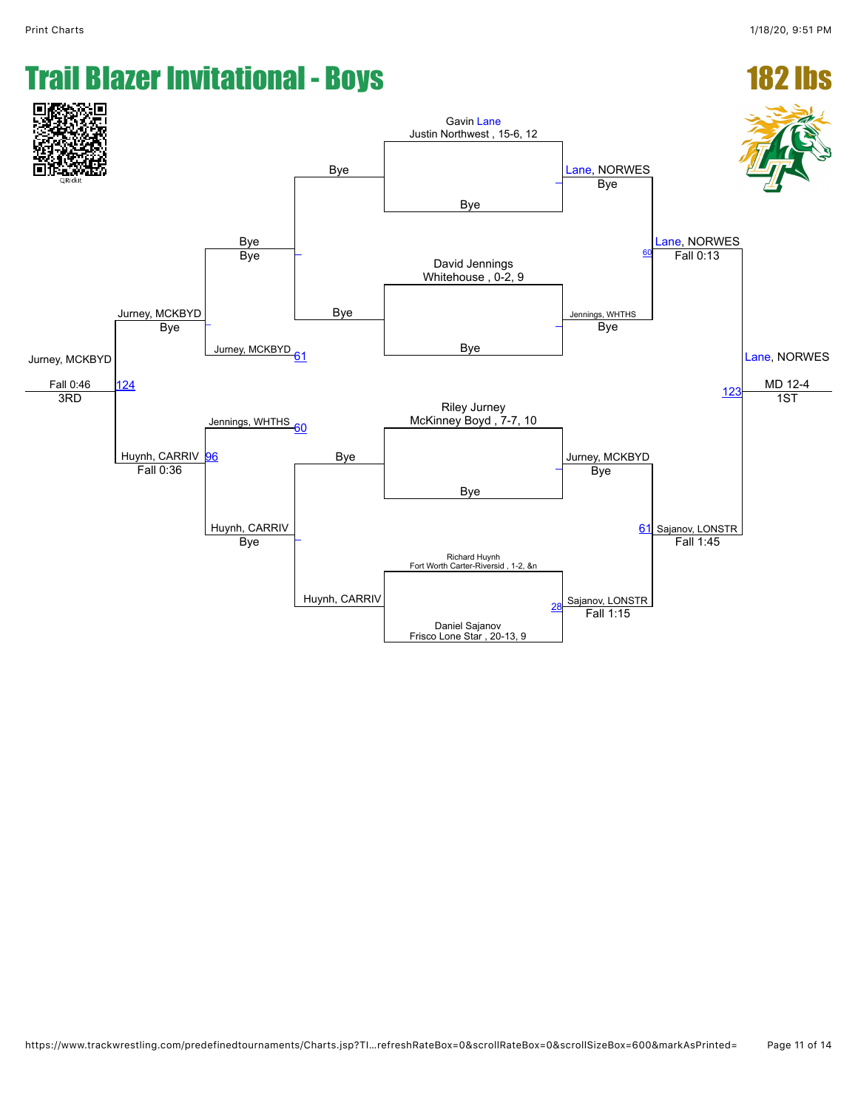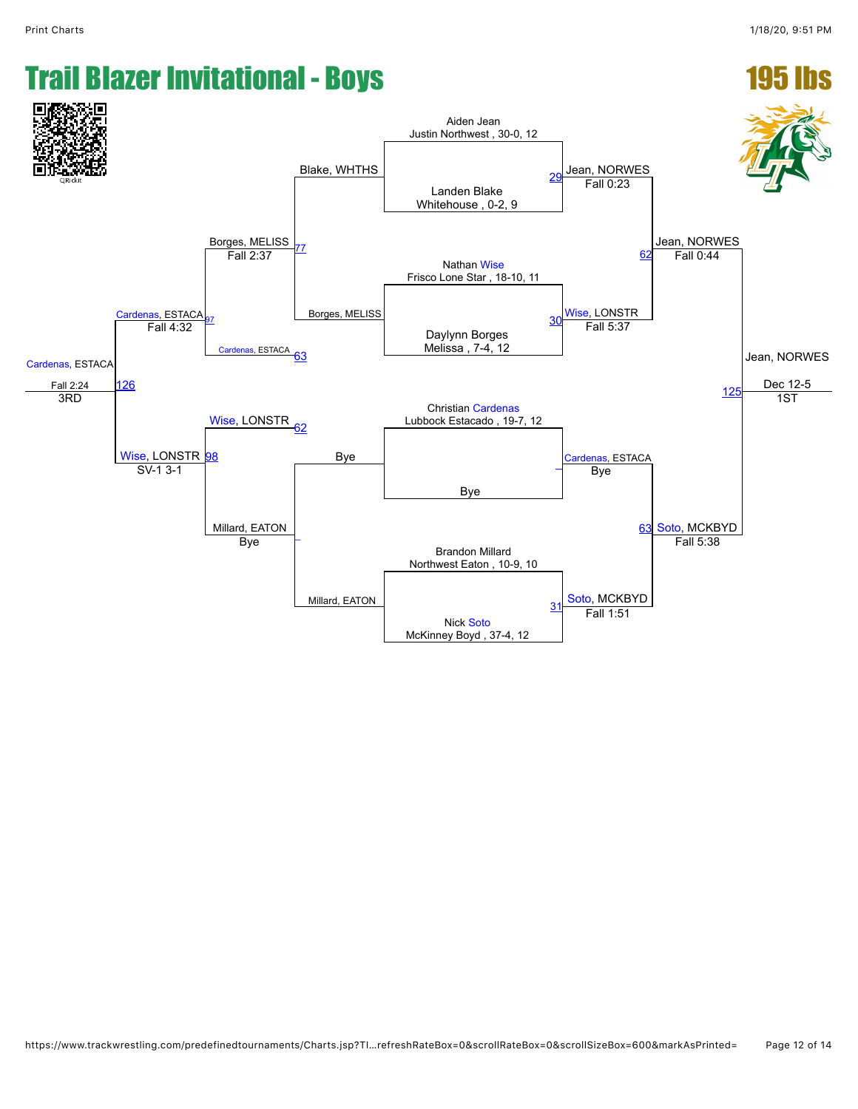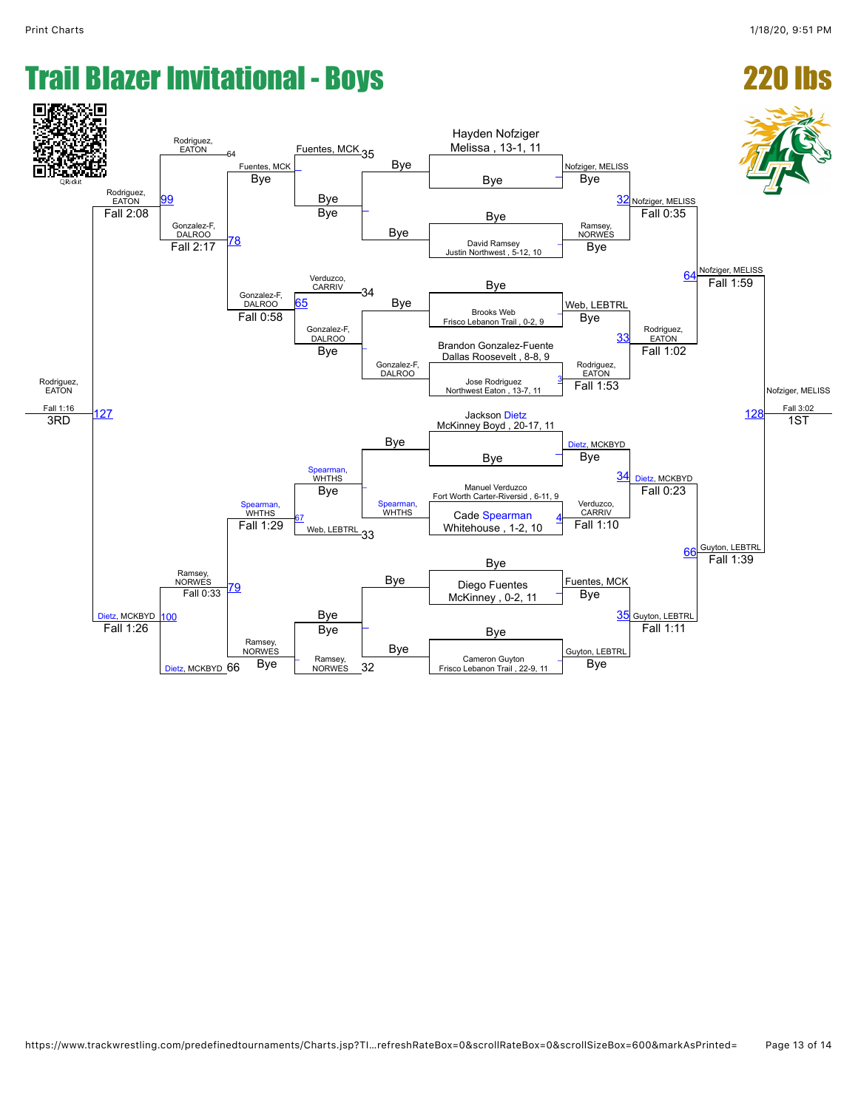